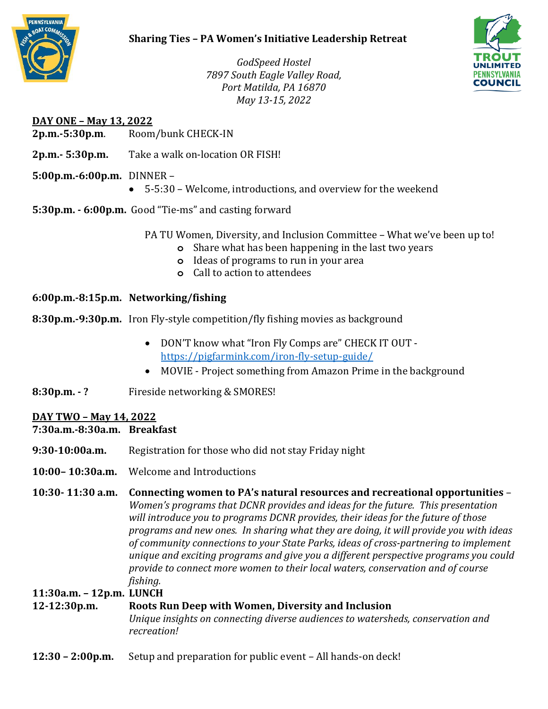

# **Sharing Ties – PA Women's Initiative Leadership Retreat**



*GodSpeed Hostel 7897 South Eagle Valley Road, Port Matilda, PA 16870 May 13-15, 2022*

## **DAY ONE – May 13, 2022**

- **2p.m.-5:30p.m**. Room/bunk CHECK-IN
- **2p.m.- 5:30p.m.** Take a walk on-location OR FISH!

### **5:00p.m.-6:00p.m.** DINNER –

- 5-5:30 Welcome, introductions, and overview for the weekend
- **5:30p.m. - 6:00p.m.** Good "Tie-ms" and casting forward

PA TU Women, Diversity, and Inclusion Committee – What we've been up to!

- **o** Share what has been happening in the last two years
- **o** Ideas of programs to run in your area
- **o** Call to action to attendees

### **6:00p.m.-8:15p.m. Networking/fishing**

- **8:30p.m.-9:30p.m.** Iron Fly-style competition/fly fishing movies as background
	- DON'T know what "Iron Fly Comps are" CHECK IT OUT <https://pigfarmink.com/iron-fly-setup-guide/>
	- MOVIE Project something from Amazon Prime in the background
- **8:30p.m. - ?** Fireside networking & SMORES!

### **DAY TWO – May 14, 2022**

| 7:30a.m.-8:30a.m. Breakfast |  |
|-----------------------------|--|
|-----------------------------|--|

- **9:30-10:00a.m.** Registration for those who did not stay Friday night
- **10:00– 10:30a.m.** Welcome and Introductions

**10:30- 11:30 a.m. Connecting women to PA's natural resources and recreational opportunities** – *Women's programs that DCNR provides and ideas for the future. This presentation will introduce you to programs DCNR provides, their ideas for the future of those programs and new ones. In sharing what they are doing, it will provide you with ideas of community connections to your State Parks, ideas of cross-partnering to implement unique and exciting programs and give you a different perspective programs you could provide to connect more women to their local waters, conservation and of course fishing.* 

**11:30a.m. – 12p.m. LUNCH** 

# **12-12:30p.m. Roots Run Deep with Women, Diversity and Inclusion**

*Unique insights on connecting diverse audiences to watersheds, conservation and recreation!*

**12:30 – 2:00p.m.** Setup and preparation for public event – All hands-on deck!